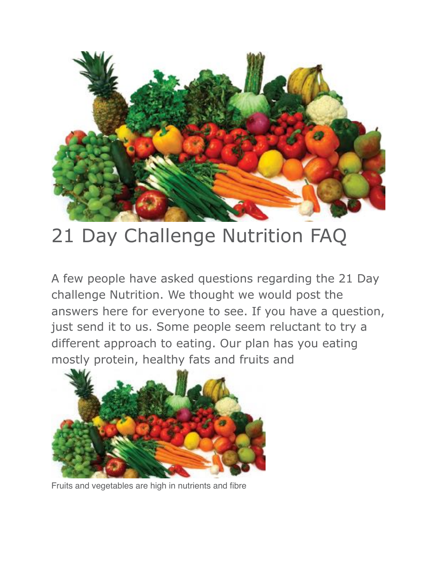

# 21 Day Challenge Nutrition FAQ

A few people have asked questions regarding the 21 Day challenge Nutrition. We thought we would post the answers here for everyone to see. If you have a question, just send it to us. Some people seem reluctant to try a different approach to eating. Our plan has you eating mostly protein, healthy fats and fruits and



Fruits and vegetables are high in nutrients and fibre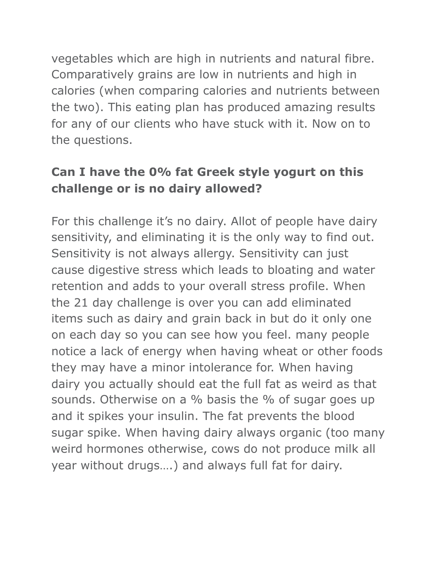vegetables which are high in nutrients and natural fibre. Comparatively grains are low in nutrients and high in calories (when comparing calories and nutrients between the two). This eating plan has produced amazing results for any of our clients who have stuck with it. Now on to the questions.

## **Can I have the 0% fat Greek style yogurt on this challenge or is no dairy allowed?**

For this challenge it's no dairy. Allot of people have dairy sensitivity, and eliminating it is the only way to find out. Sensitivity is not always allergy. Sensitivity can just cause digestive stress which leads to bloating and water retention and adds to your overall stress profile. When the 21 day challenge is over you can add eliminated items such as dairy and grain back in but do it only one on each day so you can see how you feel. many people notice a lack of energy when having wheat or other foods they may have a minor intolerance for. When having dairy you actually should eat the full fat as weird as that sounds. Otherwise on a % basis the % of sugar goes up and it spikes your insulin. The fat prevents the blood sugar spike. When having dairy always organic (too many weird hormones otherwise, cows do not produce milk all year without drugs….) and always full fat for dairy.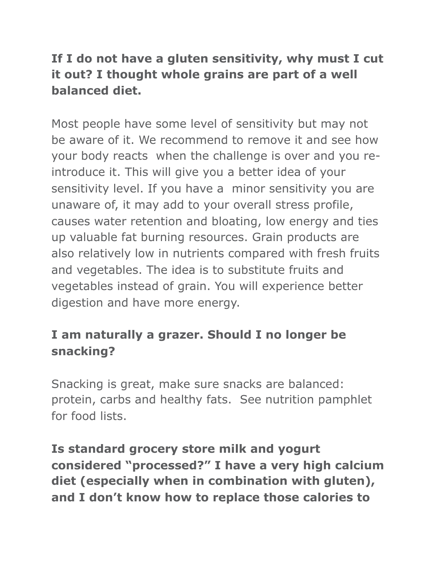# **If I do not have a gluten sensitivity, why must I cut it out? I thought whole grains are part of a well balanced diet.**

Most people have some level of sensitivity but may not be aware of it. We recommend to remove it and see how your body reacts when the challenge is over and you reintroduce it. This will give you a better idea of your sensitivity level. If you have a minor sensitivity you are unaware of, it may add to your overall stress profile, causes water retention and bloating, low energy and ties up valuable fat burning resources. Grain products are also relatively low in nutrients compared with fresh fruits and vegetables. The idea is to substitute fruits and vegetables instead of grain. You will experience better digestion and have more energy.

## **I am naturally a grazer. Should I no longer be snacking?**

Snacking is great, make sure snacks are balanced: protein, carbs and healthy fats. See nutrition pamphlet for food lists.

**Is standard grocery store milk and yogurt considered "processed?" I have a very high calcium diet (especially when in combination with gluten), and I don't know how to replace those calories to**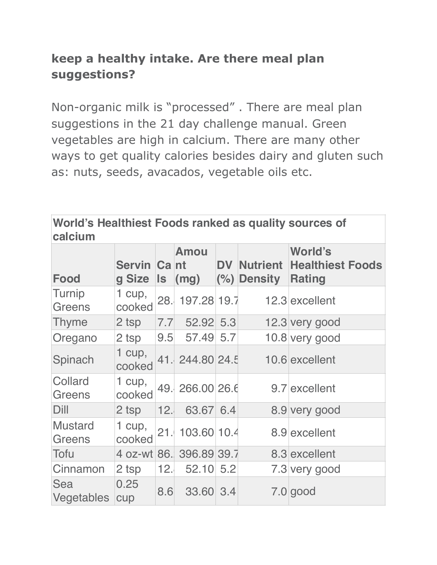# **keep a healthy intake. Are there meal plan suggestions?**

Non-organic milk is "processed" . There are meal plan suggestions in the 21 day challenge manual. Green vegetables are high in calcium. There are many other ways to get quality calories besides dairy and gluten such as: nuts, seeds, avacados, vegetable oils etc.

| World's Healthiest Foods ranked as quality sources of<br>calcium |                       |      |                     |           |                           |                                                            |  |  |
|------------------------------------------------------------------|-----------------------|------|---------------------|-----------|---------------------------|------------------------------------------------------------|--|--|
| Food                                                             | Servin Cant<br>g Size | Is I | <b>Amou</b><br>(mg) | <b>DV</b> | Nutrient<br>$(%)$ Density | <b>World's</b><br><b>Healthiest Foods</b><br><b>Rating</b> |  |  |
| Turnip<br><b>Greens</b>                                          | 1 cup,<br>cooked      | 28.  | 197.28 19.7         |           |                           | 12.3 excellent                                             |  |  |
| Thyme                                                            | 2 tsp                 | 7.7  | 52.92 5.3           |           |                           | 12.3 very good                                             |  |  |
| Oregano                                                          | 2 tsp                 | 9.5  | 57.49 5.7           |           |                           | 10.8 very good                                             |  |  |
| Spinach                                                          | $1$ cup,<br>cooked    |      | 41. 244.80 24.5     |           |                           | 10.6 excellent                                             |  |  |
| Collard<br><b>Greens</b>                                         | 1 cup,<br>cooked      | 49.  | 266.00 26.6         |           |                           | 9.7 excellent                                              |  |  |
| Dill                                                             | 2 tsp                 | 12.  | 63.67 6.4           |           |                           | 8.9 very good                                              |  |  |
| <b>Mustard</b><br>Greens                                         | 1 $cup$ ,<br>cooked   | 21.  | 103.60 10.4         |           |                           | 8.9 excellent                                              |  |  |
| <b>Tofu</b>                                                      | 4 oz-wt 86.           |      | 396.89 39.7         |           |                           | 8.3 excellent                                              |  |  |
| Cinnamon                                                         | 2 tsp                 | 12.  | 52.10 5.2           |           |                           | 7.3 very good                                              |  |  |
| Sea<br>Vegetables                                                | 0.25<br>cup           | 8.6  | 33.60 3.4           |           |                           | $7.0$ good                                                 |  |  |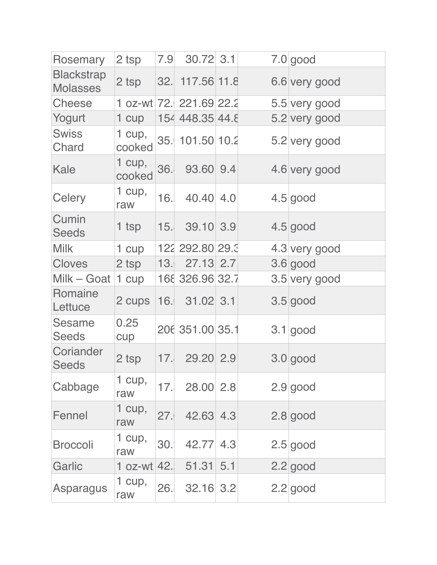| Rosemary                             | 2 tsp            | 7.9 | $30.72$ 3.1             |  | $7.0$ good    |
|--------------------------------------|------------------|-----|-------------------------|--|---------------|
| <b>Blackstrap</b><br><b>Molasses</b> | 2 tsp            |     | 32. 117.56 11.8         |  | 6.6 very good |
| <b>Cheese</b>                        |                  |     | 1 oz-wt 72. 221.69 22.2 |  | 5.5 very good |
| Yogurt                               | 1 cup            |     | 154 448.35 44.8         |  | 5.2 very good |
| <b>Swiss</b><br>Chard                | 1 cup,<br>cooked | 35. | 101.50 10.2             |  | 5.2 very good |
| Kale                                 | 1 cup,<br>cooked | 36. | 93.60 9.4               |  | 4.6 very good |
| <b>Celery</b>                        | 1 cup,<br>raw    | 16. | 40.40 4.0               |  | $4.5$ good    |
| Cumin<br><b>Seeds</b>                | 1 tsp            | 15. | 39.10 3.9               |  | $4.5$ good    |
| <b>Milk</b>                          | 1 cup            |     | 122 292.80 29.3         |  | 4.3 very good |
| <b>Cloves</b>                        | 2 tsp            | 13. | 27.13 2.7               |  | $3.6$ good    |
| Milk - Goat                          | 1 cup            |     | 168 326.96 32.7         |  | 3.5 very good |
| Romaine<br>Lettuce                   | 2 cups           | 16. | $31.02$ 3.1             |  | $3.5$ good    |
| Sesame<br><b>Seeds</b>               | 0.25<br>cup      |     | 206 351.00 35.1         |  | $3.1$ good    |
| Coriander<br><b>Seeds</b>            | 2 tsp            | 17. | 29.20 2.9               |  | $3.0$ good    |
| Cabbage                              | 1 cup,<br>raw    | 17. | 28.00 2.8               |  | $2.9$ good    |
| Fennel                               | 1 cup,<br>raw    | 27. | 42.63 4.3               |  | $2.8$ good    |
| <b>Broccoli</b>                      | 1 cup,<br>raw    | 30. | 42.77 4.3               |  | $2.5$ good    |
| Garlic                               | 1 oz-wt $ 42 $   |     | 51.31   5.1             |  | $2.2$ good    |
| Asparagus                            | 1 cup,<br>raw    | 26. | 32.16 3.2               |  | $2.2$ good    |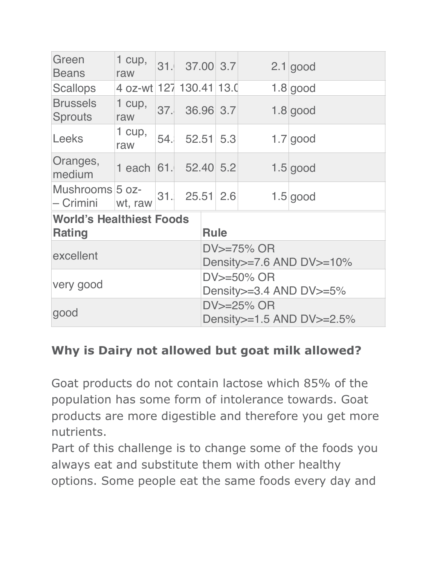| Green<br><b>Beans</b>                            | 1 cup,<br>raw           | 31. |           |  | 37.00 3.7                                       |  | $2.1$ good |  |
|--------------------------------------------------|-------------------------|-----|-----------|--|-------------------------------------------------|--|------------|--|
| <b>Scallops</b>                                  | 4 oz-wt 127 130.41 13.0 |     |           |  |                                                 |  | $1.8$ good |  |
| <b>Brussels</b><br><b>Sprouts</b>                | 1 cup,<br>raw           | 37. |           |  | 36.96 3.7                                       |  | $1.8$ good |  |
| <b>Leeks</b>                                     | 1 $cup$ ,<br>raw        | 54. |           |  | 52.51   5.3                                     |  | $1.7$ good |  |
| Oranges,<br>medium                               | 1 each $ 61 $           |     | 52.40 5.2 |  |                                                 |  | $1.5$ good |  |
| Mushrooms 5 oz-<br>– Crimini                     | wt, raw                 | 31. |           |  | 25.51 2.6                                       |  | $1.5$ good |  |
| <b>World's Healthiest Foods</b><br><b>Rating</b> |                         |     |           |  | <b>Rule</b>                                     |  |            |  |
| excellent                                        |                         |     |           |  | DV>=75% OR<br>Density $>= 7.6$ AND DV $>= 10\%$ |  |            |  |
| very good                                        |                         |     |           |  | DV>=50% OR<br>Density > = 3.4 AND DV > = 5%     |  |            |  |
| good                                             |                         |     |           |  | DV>=25% OR<br>Density > = 1.5 AND DV > = 2.5%   |  |            |  |

#### **Why is Dairy not allowed but goat milk allowed?**

Goat products do not contain lactose which 85% of the population has some form of intolerance towards. Goat products are more digestible and therefore you get more nutrients.

Part of this challenge is to change some of the foods you always eat and substitute them with other healthy options. Some people eat the same foods every day and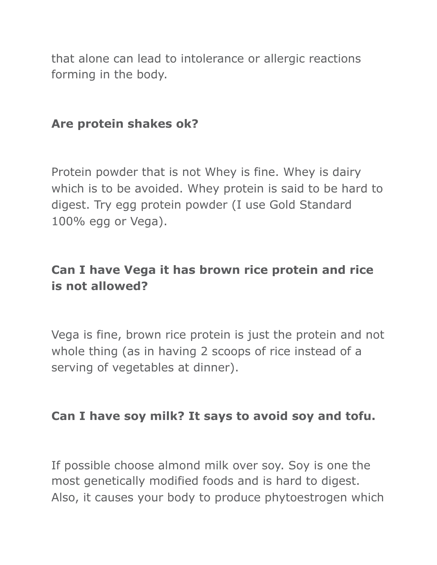that alone can lead to intolerance or allergic reactions forming in the body.

#### **Are protein shakes ok?**

Protein powder that is not Whey is fine. Whey is dairy which is to be avoided. Whey protein is said to be hard to digest. Try egg protein powder (I use Gold Standard 100% egg or Vega).

# **Can I have Vega it has brown rice protein and rice is not allowed?**

Vega is fine, brown rice protein is just the protein and not whole thing (as in having 2 scoops of rice instead of a serving of vegetables at dinner).

#### **Can I have soy milk? It says to avoid soy and tofu.**

If possible choose almond milk over soy. Soy is one the most genetically modified foods and is hard to digest. Also, it causes your body to produce phytoestrogen which